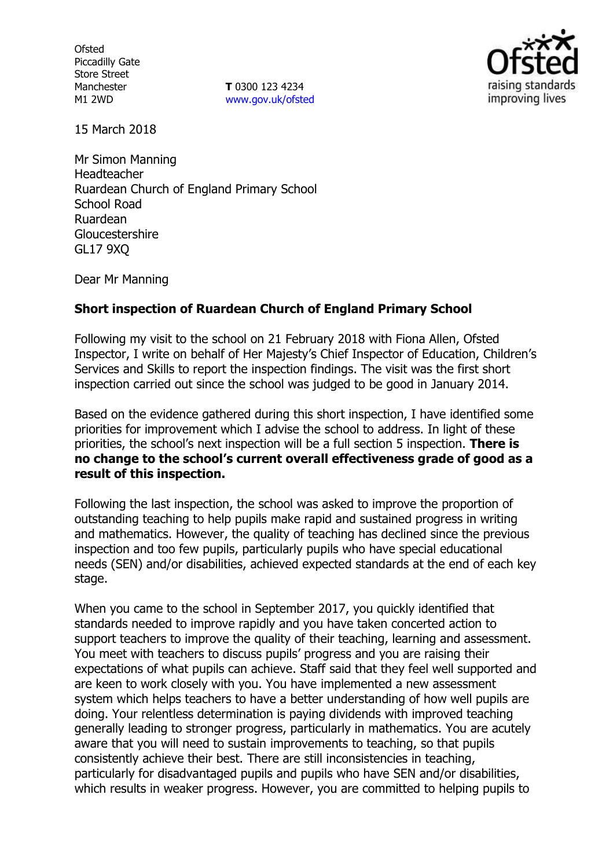**Ofsted** Piccadilly Gate Store Street Manchester M1 2WD

**T** 0300 123 4234 www.gov.uk/ofsted



15 March 2018

Mr Simon Manning Headteacher Ruardean Church of England Primary School School Road Ruardean Gloucestershire GL17 9XQ

Dear Mr Manning

### **Short inspection of Ruardean Church of England Primary School**

Following my visit to the school on 21 February 2018 with Fiona Allen, Ofsted Inspector, I write on behalf of Her Majesty's Chief Inspector of Education, Children's Services and Skills to report the inspection findings. The visit was the first short inspection carried out since the school was judged to be good in January 2014.

Based on the evidence gathered during this short inspection, I have identified some priorities for improvement which I advise the school to address. In light of these priorities, the school's next inspection will be a full section 5 inspection. **There is no change to the school's current overall effectiveness grade of good as a result of this inspection.**

Following the last inspection, the school was asked to improve the proportion of outstanding teaching to help pupils make rapid and sustained progress in writing and mathematics. However, the quality of teaching has declined since the previous inspection and too few pupils, particularly pupils who have special educational needs (SEN) and/or disabilities, achieved expected standards at the end of each key stage.

When you came to the school in September 2017, you quickly identified that standards needed to improve rapidly and you have taken concerted action to support teachers to improve the quality of their teaching, learning and assessment. You meet with teachers to discuss pupils' progress and you are raising their expectations of what pupils can achieve. Staff said that they feel well supported and are keen to work closely with you. You have implemented a new assessment system which helps teachers to have a better understanding of how well pupils are doing. Your relentless determination is paying dividends with improved teaching generally leading to stronger progress, particularly in mathematics. You are acutely aware that you will need to sustain improvements to teaching, so that pupils consistently achieve their best. There are still inconsistencies in teaching, particularly for disadvantaged pupils and pupils who have SEN and/or disabilities, which results in weaker progress. However, you are committed to helping pupils to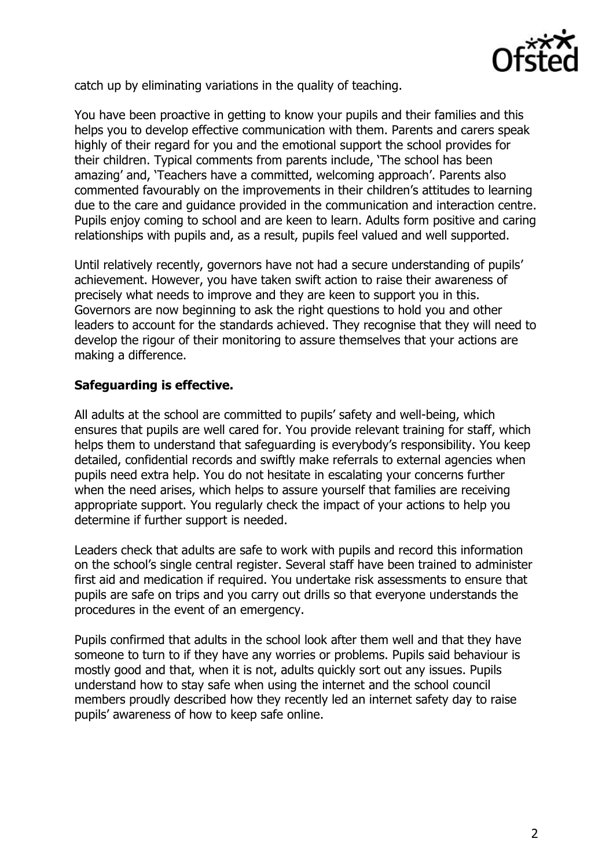

catch up by eliminating variations in the quality of teaching.

You have been proactive in getting to know your pupils and their families and this helps you to develop effective communication with them. Parents and carers speak highly of their regard for you and the emotional support the school provides for their children. Typical comments from parents include, 'The school has been amazing' and, 'Teachers have a committed, welcoming approach'. Parents also commented favourably on the improvements in their children's attitudes to learning due to the care and guidance provided in the communication and interaction centre. Pupils enjoy coming to school and are keen to learn. Adults form positive and caring relationships with pupils and, as a result, pupils feel valued and well supported.

Until relatively recently, governors have not had a secure understanding of pupils' achievement. However, you have taken swift action to raise their awareness of precisely what needs to improve and they are keen to support you in this. Governors are now beginning to ask the right questions to hold you and other leaders to account for the standards achieved. They recognise that they will need to develop the rigour of their monitoring to assure themselves that your actions are making a difference.

# **Safeguarding is effective.**

All adults at the school are committed to pupils' safety and well-being, which ensures that pupils are well cared for. You provide relevant training for staff, which helps them to understand that safeguarding is everybody's responsibility. You keep detailed, confidential records and swiftly make referrals to external agencies when pupils need extra help. You do not hesitate in escalating your concerns further when the need arises, which helps to assure yourself that families are receiving appropriate support. You regularly check the impact of your actions to help you determine if further support is needed.

Leaders check that adults are safe to work with pupils and record this information on the school's single central register. Several staff have been trained to administer first aid and medication if required. You undertake risk assessments to ensure that pupils are safe on trips and you carry out drills so that everyone understands the procedures in the event of an emergency.

Pupils confirmed that adults in the school look after them well and that they have someone to turn to if they have any worries or problems. Pupils said behaviour is mostly good and that, when it is not, adults quickly sort out any issues. Pupils understand how to stay safe when using the internet and the school council members proudly described how they recently led an internet safety day to raise pupils' awareness of how to keep safe online.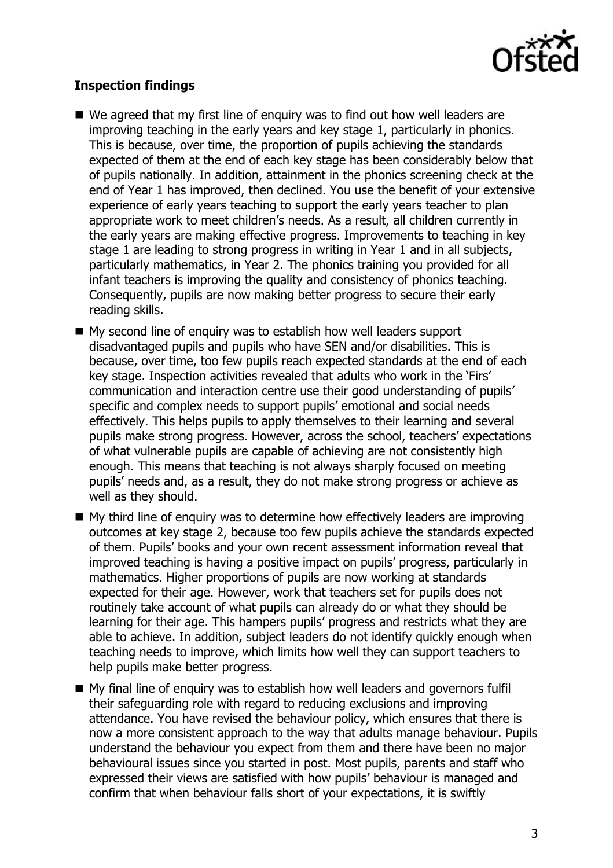

## **Inspection findings**

- We agreed that my first line of enguiry was to find out how well leaders are improving teaching in the early years and key stage 1, particularly in phonics. This is because, over time, the proportion of pupils achieving the standards expected of them at the end of each key stage has been considerably below that of pupils nationally. In addition, attainment in the phonics screening check at the end of Year 1 has improved, then declined. You use the benefit of your extensive experience of early years teaching to support the early years teacher to plan appropriate work to meet children's needs. As a result, all children currently in the early years are making effective progress. Improvements to teaching in key stage 1 are leading to strong progress in writing in Year 1 and in all subjects, particularly mathematics, in Year 2. The phonics training you provided for all infant teachers is improving the quality and consistency of phonics teaching. Consequently, pupils are now making better progress to secure their early reading skills.
- My second line of enquiry was to establish how well leaders support disadvantaged pupils and pupils who have SEN and/or disabilities. This is because, over time, too few pupils reach expected standards at the end of each key stage. Inspection activities revealed that adults who work in the 'Firs' communication and interaction centre use their good understanding of pupils' specific and complex needs to support pupils' emotional and social needs effectively. This helps pupils to apply themselves to their learning and several pupils make strong progress. However, across the school, teachers' expectations of what vulnerable pupils are capable of achieving are not consistently high enough. This means that teaching is not always sharply focused on meeting pupils' needs and, as a result, they do not make strong progress or achieve as well as they should.
- My third line of enquiry was to determine how effectively leaders are improving outcomes at key stage 2, because too few pupils achieve the standards expected of them. Pupils' books and your own recent assessment information reveal that improved teaching is having a positive impact on pupils' progress, particularly in mathematics. Higher proportions of pupils are now working at standards expected for their age. However, work that teachers set for pupils does not routinely take account of what pupils can already do or what they should be learning for their age. This hampers pupils' progress and restricts what they are able to achieve. In addition, subject leaders do not identify quickly enough when teaching needs to improve, which limits how well they can support teachers to help pupils make better progress.
- My final line of enquiry was to establish how well leaders and governors fulfil their safeguarding role with regard to reducing exclusions and improving attendance. You have revised the behaviour policy, which ensures that there is now a more consistent approach to the way that adults manage behaviour. Pupils understand the behaviour you expect from them and there have been no major behavioural issues since you started in post. Most pupils, parents and staff who expressed their views are satisfied with how pupils' behaviour is managed and confirm that when behaviour falls short of your expectations, it is swiftly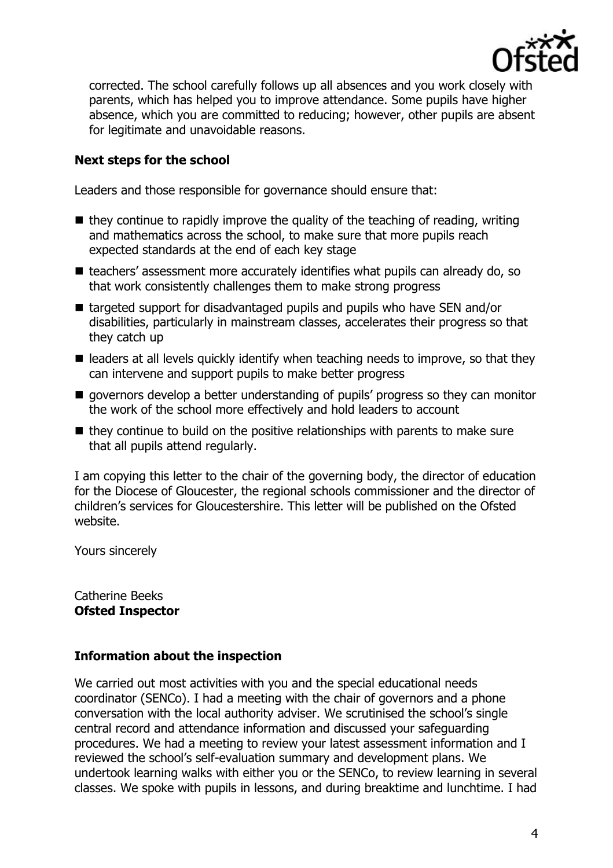

corrected. The school carefully follows up all absences and you work closely with parents, which has helped you to improve attendance. Some pupils have higher absence, which you are committed to reducing; however, other pupils are absent for legitimate and unavoidable reasons.

## **Next steps for the school**

Leaders and those responsible for governance should ensure that:

- $\blacksquare$  they continue to rapidly improve the quality of the teaching of reading, writing and mathematics across the school, to make sure that more pupils reach expected standards at the end of each key stage
- teachers' assessment more accurately identifies what pupils can already do, so that work consistently challenges them to make strong progress
- targeted support for disadvantaged pupils and pupils who have SEN and/or disabilities, particularly in mainstream classes, accelerates their progress so that they catch up
- $\blacksquare$  leaders at all levels quickly identify when teaching needs to improve, so that they can intervene and support pupils to make better progress
- **q** governors develop a better understanding of pupils' progress so they can monitor the work of the school more effectively and hold leaders to account
- $\blacksquare$  they continue to build on the positive relationships with parents to make sure that all pupils attend regularly.

I am copying this letter to the chair of the governing body, the director of education for the Diocese of Gloucester, the regional schools commissioner and the director of children's services for Gloucestershire. This letter will be published on the Ofsted website.

Yours sincerely

Catherine Beeks **Ofsted Inspector**

### **Information about the inspection**

We carried out most activities with you and the special educational needs coordinator (SENCo). I had a meeting with the chair of governors and a phone conversation with the local authority adviser. We scrutinised the school's single central record and attendance information and discussed your safeguarding procedures. We had a meeting to review your latest assessment information and I reviewed the school's self-evaluation summary and development plans. We undertook learning walks with either you or the SENCo, to review learning in several classes. We spoke with pupils in lessons, and during breaktime and lunchtime. I had